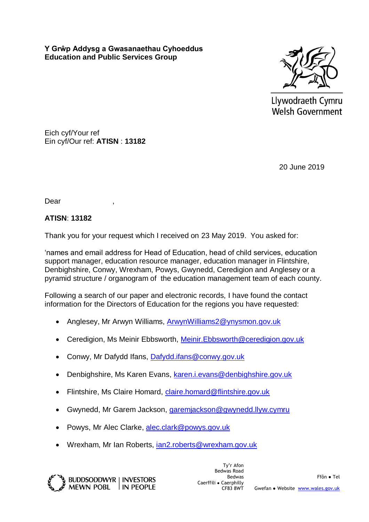**Y Grŵp Addysg a Gwasanaethau Cyhoeddus Education and Public Services Group**



Llywodraeth Cymru **Welsh Government** 

Eich cyf/Your ref Ein cyf/Our ref: **ATISN** : **13182**

20 June 2019

Dear

## **ATISN**: **13182**

Thank you for your request which I received on 23 May 2019. You asked for:

'names and email address for Head of Education, head of child services, education support manager, education resource manager, education manager in Flintshire, Denbighshire, Conwy, Wrexham, Powys, Gwynedd, Ceredigion and Anglesey or a pyramid structure / organogram of the education management team of each county.

Following a search of our paper and electronic records, I have found the contact information for the Directors of Education for the regions you have requested:

- Anglesey, Mr Arwyn Williams, [ArwynWilliams2@ynysmon.gov.uk](mailto:ArwynWilliams2@ynysmon.gov.uk)
- Ceredigion, Ms Meinir Ebbsworth, [Meinir.Ebbsworth@ceredigion.gov.uk](mailto:Meinir.Ebbsworth@ceredigion.gov.uk)
- Conwy, Mr Dafydd Ifans, [Dafydd.ifans@conwy.gov.uk](mailto:Dafydd.ifans@conwy.gov.uk)
- Denbighshire, Ms Karen Evans, [karen.i.evans@denbighshire.gov.uk](mailto:karen.i.evans@denbighshire.gov.uk)
- Flintshire, Ms Claire Homard, [claire.homard@flintshire.gov.uk](mailto:claire.homard@flintshire.gov.uk)
- Gwynedd, Mr Garem Jackson, [garemjackson@gwynedd.llyw.cymru](mailto:garemjackson@gwynedd.llyw.cymru)
- Powys, Mr Alec Clarke, [alec.clark@powys.gov.uk](mailto:alec.clark@powys.gov.uk)
- Wrexham, Mr Ian Roberts, [ian2.roberts@wrexham.gov.uk](mailto:ian2.roberts@wrexham.gov.uk)